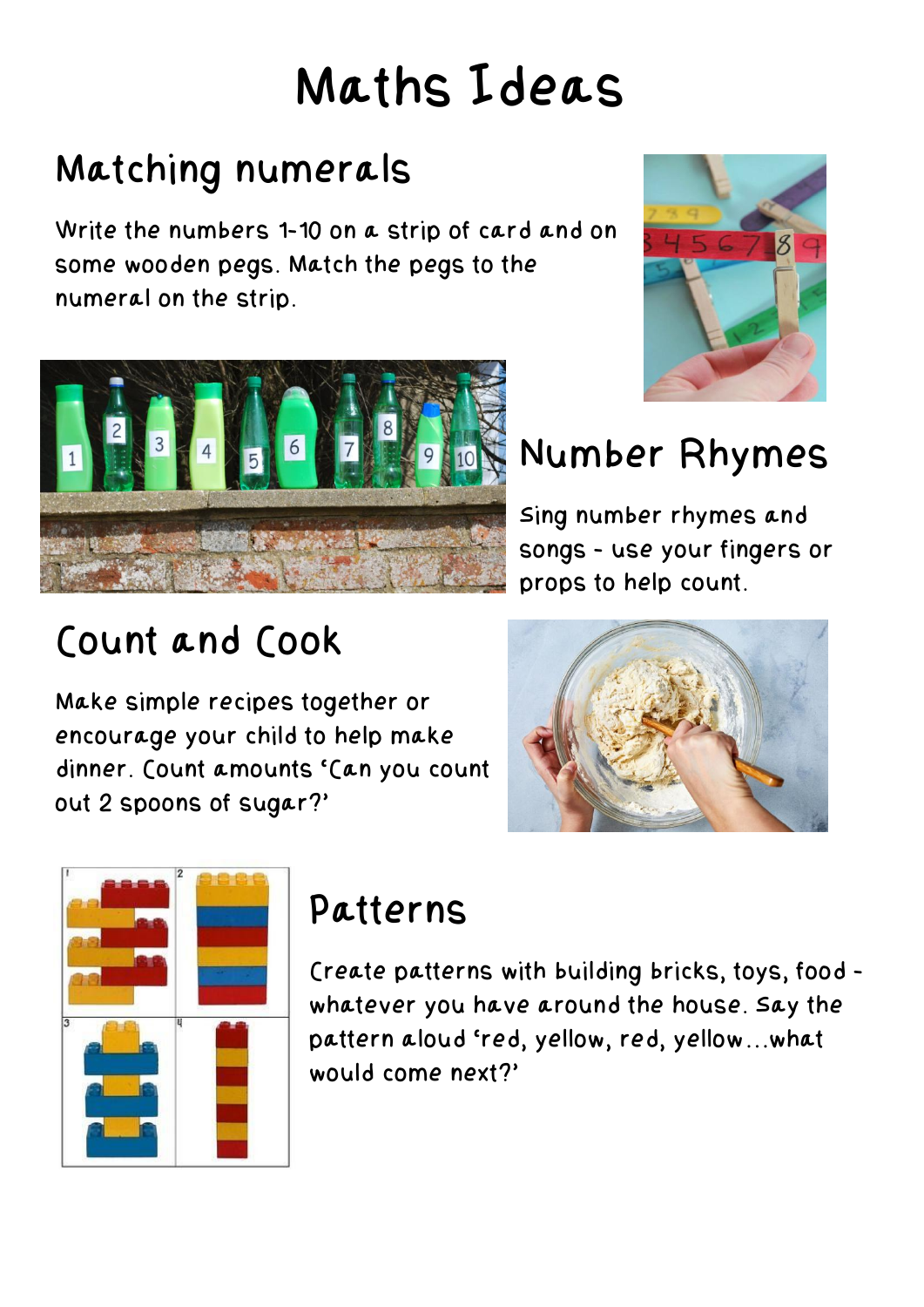# Maths Ideas

## Matching numerals

Write the numbers 1-10 on a strip of card and on some wooden pegs. Match the pegs to the numeral on the strip.





# Number Rhymes

Sing number rhymes and songs - use your fingers or props to help count.

## Count and Cook

Make simple recipes together or encourage your child to help make dinner. Count amounts 'Can you count out 2 spoons of sugar?'





#### Patterns

Create patterns with building bricks, toys, food whatever you have around the house. Say the pattern aloud 'red, yellow, red, yellow…what would come next?'